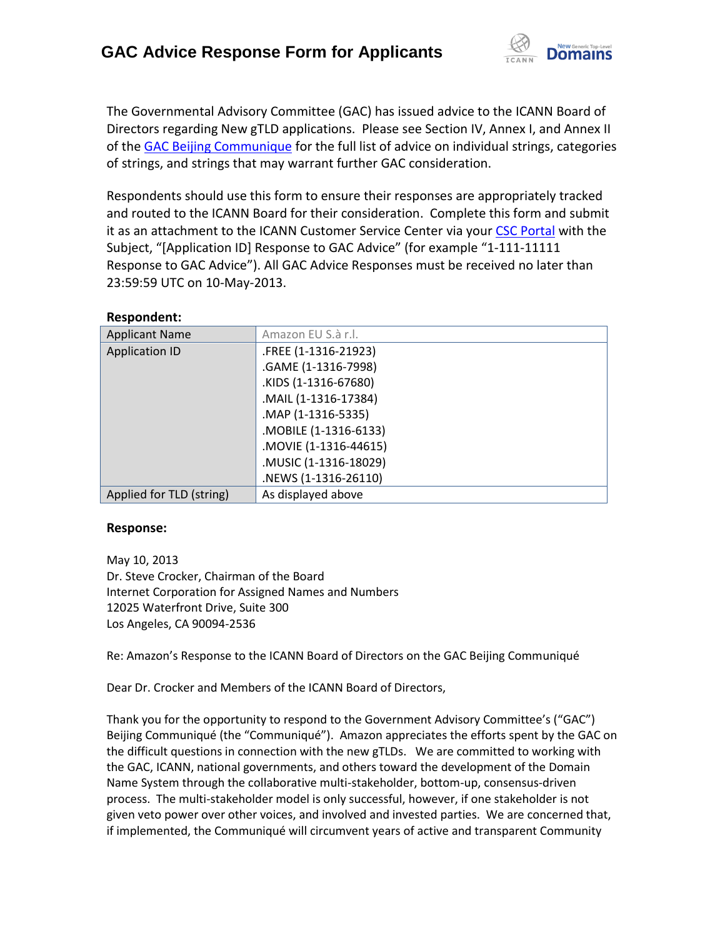

The Governmental Advisory Committee (GAC) has issued advice to the ICANN Board of Directors regarding New gTLD applications. Please see Section IV, Annex I, and Annex II of th[e GAC Beijing Communique](http://www.icann.org/en/news/correspondence/gac-to-board-18apr13-en.pdf) for the full list of advice on individual strings, categories of strings, and strings that may warrant further GAC consideration.

Respondents should use this form to ensure their responses are appropriately tracked and routed to the ICANN Board for their consideration. Complete this form and submit it as an attachment to the ICANN Customer Service Center via your CSC [Portal](https://myicann.secure.force.com/) with the Subject, "[Application ID] Response to GAC Advice" (for example "1-111-11111 Response to GAC Advice"). All GAC Advice Responses must be received no later than 23:59:59 UTC on 10-May-2013.

| <b>ILCONOTINGIIL.</b>    |                       |
|--------------------------|-----------------------|
| <b>Applicant Name</b>    | Amazon EU S.à r.l.    |
| <b>Application ID</b>    | .FREE (1-1316-21923)  |
|                          | .GAME (1-1316-7998)   |
|                          | .KIDS (1-1316-67680)  |
|                          | .MAIL (1-1316-17384)  |
|                          | .MAP (1-1316-5335)    |
|                          | .MOBILE (1-1316-6133) |
|                          | .MOVIE (1-1316-44615) |
|                          | .MUSIC (1-1316-18029) |
|                          | .NEWS (1-1316-26110)  |
| Applied for TLD (string) | As displayed above    |

#### **Respondent:**

#### **Response:**

May 10, 2013 Dr. Steve Crocker, Chairman of the Board Internet Corporation for Assigned Names and Numbers 12025 Waterfront Drive, Suite 300 Los Angeles, CA 90094-2536

Re: Amazon's Response to the ICANN Board of Directors on the GAC Beijing Communiqué

Dear Dr. Crocker and Members of the ICANN Board of Directors,

Thank you for the opportunity to respond to the Government Advisory Committee's ("GAC") Beijing Communiqué (the "Communiqué"). Amazon appreciates the efforts spent by the GAC on the difficult questions in connection with the new gTLDs. We are committed to working with the GAC, ICANN, national governments, and others toward the development of the Domain Name System through the collaborative multi-stakeholder, bottom-up, consensus-driven process. The multi-stakeholder model is only successful, however, if one stakeholder is not given veto power over other voices, and involved and invested parties. We are concerned that, if implemented, the Communiqué will circumvent years of active and transparent Community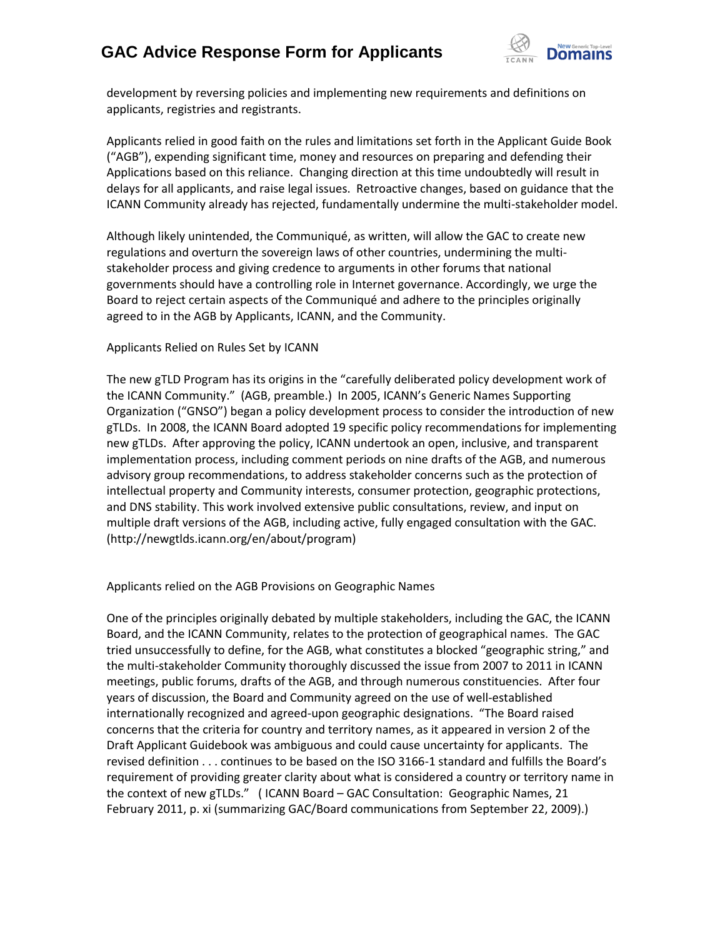

development by reversing policies and implementing new requirements and definitions on applicants, registries and registrants.

Applicants relied in good faith on the rules and limitations set forth in the Applicant Guide Book ("AGB"), expending significant time, money and resources on preparing and defending their Applications based on this reliance. Changing direction at this time undoubtedly will result in delays for all applicants, and raise legal issues. Retroactive changes, based on guidance that the ICANN Community already has rejected, fundamentally undermine the multi-stakeholder model.

Although likely unintended, the Communiqué, as written, will allow the GAC to create new regulations and overturn the sovereign laws of other countries, undermining the multistakeholder process and giving credence to arguments in other forums that national governments should have a controlling role in Internet governance. Accordingly, we urge the Board to reject certain aspects of the Communiqué and adhere to the principles originally agreed to in the AGB by Applicants, ICANN, and the Community.

#### Applicants Relied on Rules Set by ICANN

The new gTLD Program has its origins in the "carefully deliberated policy development work of the ICANN Community." (AGB, preamble.) In 2005, ICANN's Generic Names Supporting Organization ("GNSO") began a policy development process to consider the introduction of new gTLDs. In 2008, the ICANN Board adopted 19 specific policy recommendations for implementing new gTLDs. After approving the policy, ICANN undertook an open, inclusive, and transparent implementation process, including comment periods on nine drafts of the AGB, and numerous advisory group recommendations, to address stakeholder concerns such as the protection of intellectual property and Community interests, consumer protection, geographic protections, and DNS stability. This work involved extensive public consultations, review, and input on multiple draft versions of the AGB, including active, fully engaged consultation with the GAC. (http://newgtlds.icann.org/en/about/program)

Applicants relied on the AGB Provisions on Geographic Names

One of the principles originally debated by multiple stakeholders, including the GAC, the ICANN Board, and the ICANN Community, relates to the protection of geographical names. The GAC tried unsuccessfully to define, for the AGB, what constitutes a blocked "geographic string," and the multi-stakeholder Community thoroughly discussed the issue from 2007 to 2011 in ICANN meetings, public forums, drafts of the AGB, and through numerous constituencies. After four years of discussion, the Board and Community agreed on the use of well-established internationally recognized and agreed-upon geographic designations. "The Board raised concerns that the criteria for country and territory names, as it appeared in version 2 of the Draft Applicant Guidebook was ambiguous and could cause uncertainty for applicants. The revised definition . . . continues to be based on the ISO 3166-1 standard and fulfills the Board's requirement of providing greater clarity about what is considered a country or territory name in the context of new gTLDs." ( ICANN Board – GAC Consultation: Geographic Names, 21 February 2011, p. xi (summarizing GAC/Board communications from September 22, 2009).)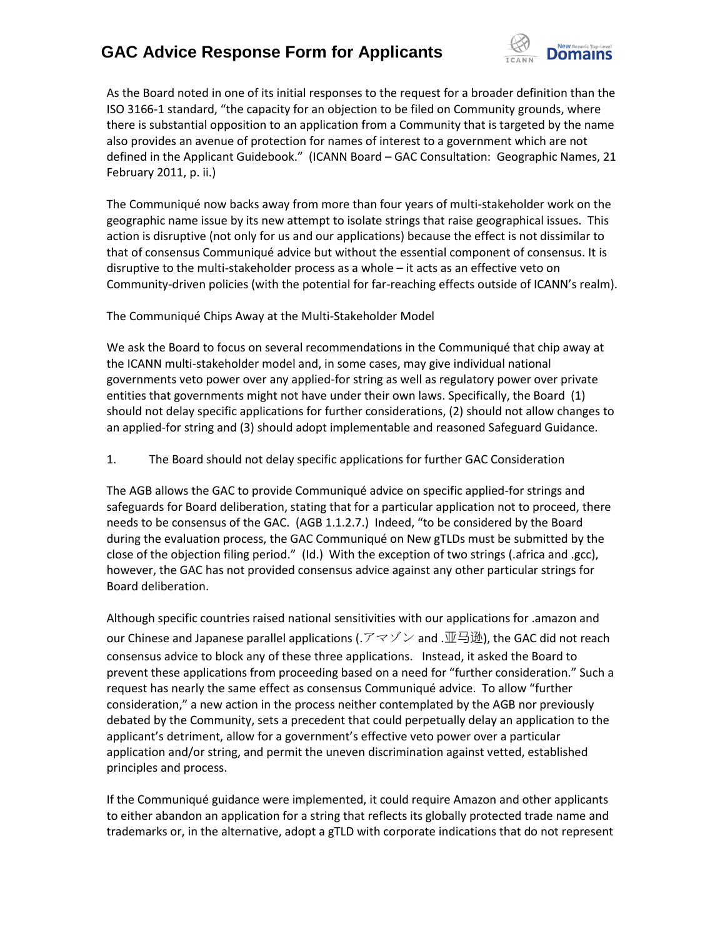

As the Board noted in one of its initial responses to the request for a broader definition than the ISO 3166-1 standard, "the capacity for an objection to be filed on Community grounds, where there is substantial opposition to an application from a Community that is targeted by the name also provides an avenue of protection for names of interest to a government which are not defined in the Applicant Guidebook." (ICANN Board – GAC Consultation: Geographic Names, 21 February 2011, p. ii.)

The Communiqué now backs away from more than four years of multi-stakeholder work on the geographic name issue by its new attempt to isolate strings that raise geographical issues. This action is disruptive (not only for us and our applications) because the effect is not dissimilar to that of consensus Communiqué advice but without the essential component of consensus. It is disruptive to the multi-stakeholder process as a whole – it acts as an effective veto on Community-driven policies (with the potential for far-reaching effects outside of ICANN's realm).

#### The Communiqué Chips Away at the Multi-Stakeholder Model

We ask the Board to focus on several recommendations in the Communiqué that chip away at the ICANN multi-stakeholder model and, in some cases, may give individual national governments veto power over any applied-for string as well as regulatory power over private entities that governments might not have under their own laws. Specifically, the Board (1) should not delay specific applications for further considerations, (2) should not allow changes to an applied-for string and (3) should adopt implementable and reasoned Safeguard Guidance.

1. The Board should not delay specific applications for further GAC Consideration

The AGB allows the GAC to provide Communiqué advice on specific applied-for strings and safeguards for Board deliberation, stating that for a particular application not to proceed, there needs to be consensus of the GAC. (AGB 1.1.2.7.) Indeed, "to be considered by the Board during the evaluation process, the GAC Communiqué on New gTLDs must be submitted by the close of the objection filing period." (Id.) With the exception of two strings (.africa and .gcc), however, the GAC has not provided consensus advice against any other particular strings for Board deliberation.

Although specific countries raised national sensitivities with our applications for .amazon and our Chinese and Japanese parallel applications (.アマゾン and .亚马逊), the GAC did not reach consensus advice to block any of these three applications. Instead, it asked the Board to prevent these applications from proceeding based on a need for "further consideration." Such a request has nearly the same effect as consensus Communiqué advice. To allow "further consideration," a new action in the process neither contemplated by the AGB nor previously debated by the Community, sets a precedent that could perpetually delay an application to the applicant's detriment, allow for a government's effective veto power over a particular application and/or string, and permit the uneven discrimination against vetted, established principles and process.

If the Communiqué guidance were implemented, it could require Amazon and other applicants to either abandon an application for a string that reflects its globally protected trade name and trademarks or, in the alternative, adopt a gTLD with corporate indications that do not represent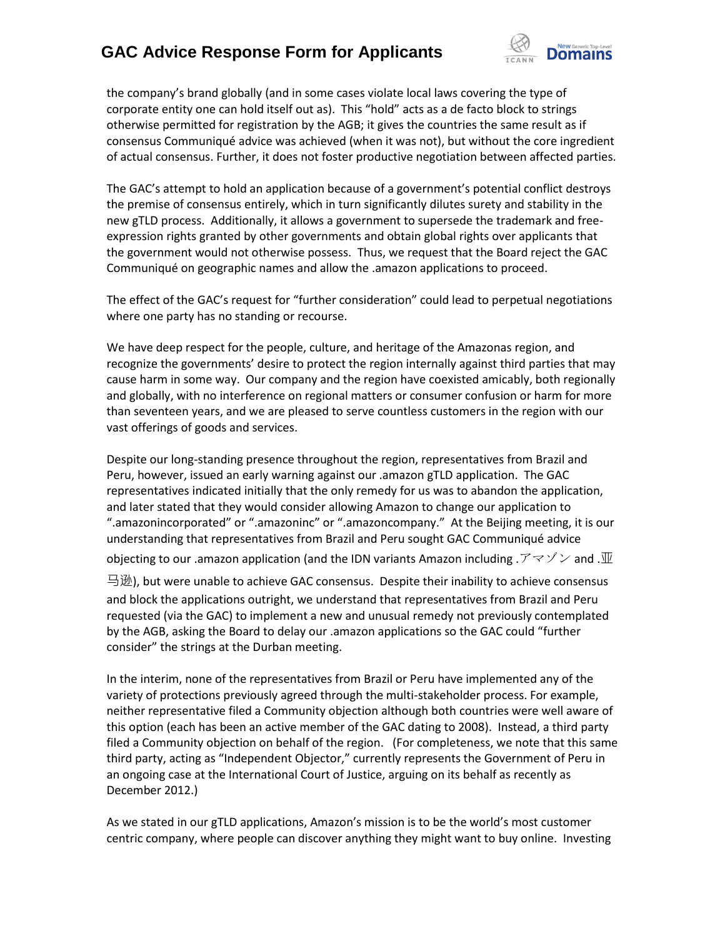

the company's brand globally (and in some cases violate local laws covering the type of corporate entity one can hold itself out as). This "hold" acts as a de facto block to strings otherwise permitted for registration by the AGB; it gives the countries the same result as if consensus Communiqué advice was achieved (when it was not), but without the core ingredient of actual consensus. Further, it does not foster productive negotiation between affected parties.

The GAC's attempt to hold an application because of a government's potential conflict destroys the premise of consensus entirely, which in turn significantly dilutes surety and stability in the new gTLD process. Additionally, it allows a government to supersede the trademark and freeexpression rights granted by other governments and obtain global rights over applicants that the government would not otherwise possess. Thus, we request that the Board reject the GAC Communiqué on geographic names and allow the .amazon applications to proceed.

The effect of the GAC's request for "further consideration" could lead to perpetual negotiations where one party has no standing or recourse.

We have deep respect for the people, culture, and heritage of the Amazonas region, and recognize the governments' desire to protect the region internally against third parties that may cause harm in some way. Our company and the region have coexisted amicably, both regionally and globally, with no interference on regional matters or consumer confusion or harm for more than seventeen years, and we are pleased to serve countless customers in the region with our vast offerings of goods and services.

Despite our long-standing presence throughout the region, representatives from Brazil and Peru, however, issued an early warning against our .amazon gTLD application. The GAC representatives indicated initially that the only remedy for us was to abandon the application, and later stated that they would consider allowing Amazon to change our application to ".amazonincorporated" or ".amazoninc" or ".amazoncompany." At the Beijing meeting, it is our understanding that representatives from Brazil and Peru sought GAC Communiqué advice objecting to our .amazon application (and the IDN variants Amazon including .  $\mathcal{F} \simeq \mathcal{Y} \vee \mathcal{Y}$  and .  $\overline{\mathbb{H}}$ 马逊), but were unable to achieve GAC consensus. Despite their inability to achieve consensus and block the applications outright, we understand that representatives from Brazil and Peru requested (via the GAC) to implement a new and unusual remedy not previously contemplated

by the AGB, asking the Board to delay our .amazon applications so the GAC could "further consider" the strings at the Durban meeting.

In the interim, none of the representatives from Brazil or Peru have implemented any of the variety of protections previously agreed through the multi-stakeholder process. For example, neither representative filed a Community objection although both countries were well aware of this option (each has been an active member of the GAC dating to 2008). Instead, a third party filed a Community objection on behalf of the region. (For completeness, we note that this same third party, acting as "Independent Objector," currently represents the Government of Peru in an ongoing case at the International Court of Justice, arguing on its behalf as recently as December 2012.)

As we stated in our gTLD applications, Amazon's mission is to be the world's most customer centric company, where people can discover anything they might want to buy online. Investing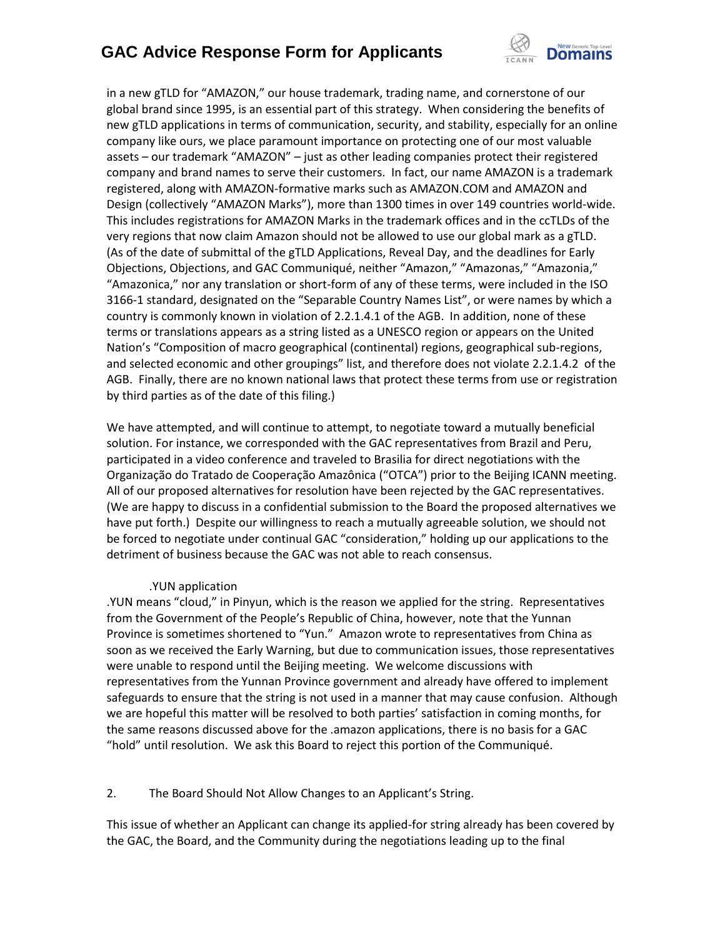

in a new gTLD for "AMAZON," our house trademark, trading name, and cornerstone of our global brand since 1995, is an essential part of this strategy. When considering the benefits of new gTLD applications in terms of communication, security, and stability, especially for an online company like ours, we place paramount importance on protecting one of our most valuable assets – our trademark "AMAZON" – just as other leading companies protect their registered company and brand names to serve their customers. In fact, our name AMAZON is a trademark registered, along with AMAZON-formative marks such as AMAZON.COM and AMAZON and Design (collectively "AMAZON Marks"), more than 1300 times in over 149 countries world-wide. This includes registrations for AMAZON Marks in the trademark offices and in the ccTLDs of the very regions that now claim Amazon should not be allowed to use our global mark as a gTLD. (As of the date of submittal of the gTLD Applications, Reveal Day, and the deadlines for Early Objections, Objections, and GAC Communiqué, neither "Amazon," "Amazonas," "Amazonia," "Amazonica," nor any translation or short-form of any of these terms, were included in the ISO 3166-1 standard, designated on the "Separable Country Names List", or were names by which a country is commonly known in violation of 2.2.1.4.1 of the AGB. In addition, none of these terms or translations appears as a string listed as a UNESCO region or appears on the United Nation's "Composition of macro geographical (continental) regions, geographical sub-regions, and selected economic and other groupings" list, and therefore does not violate 2.2.1.4.2 of the AGB. Finally, there are no known national laws that protect these terms from use or registration by third parties as of the date of this filing.)

We have attempted, and will continue to attempt, to negotiate toward a mutually beneficial solution. For instance, we corresponded with the GAC representatives from Brazil and Peru, participated in a video conference and traveled to Brasilia for direct negotiations with the Organização do Tratado de Cooperação Amazônica ("OTCA") prior to the Beijing ICANN meeting. All of our proposed alternatives for resolution have been rejected by the GAC representatives. (We are happy to discuss in a confidential submission to the Board the proposed alternatives we have put forth.) Despite our willingness to reach a mutually agreeable solution, we should not be forced to negotiate under continual GAC "consideration," holding up our applications to the detriment of business because the GAC was not able to reach consensus.

#### .YUN application

.YUN means "cloud," in Pinyun, which is the reason we applied for the string. Representatives from the Government of the People's Republic of China, however, note that the Yunnan Province is sometimes shortened to "Yun." Amazon wrote to representatives from China as soon as we received the Early Warning, but due to communication issues, those representatives were unable to respond until the Beijing meeting. We welcome discussions with representatives from the Yunnan Province government and already have offered to implement safeguards to ensure that the string is not used in a manner that may cause confusion. Although we are hopeful this matter will be resolved to both parties' satisfaction in coming months, for the same reasons discussed above for the .amazon applications, there is no basis for a GAC "hold" until resolution. We ask this Board to reject this portion of the Communiqué.

2. The Board Should Not Allow Changes to an Applicant's String.

This issue of whether an Applicant can change its applied-for string already has been covered by the GAC, the Board, and the Community during the negotiations leading up to the final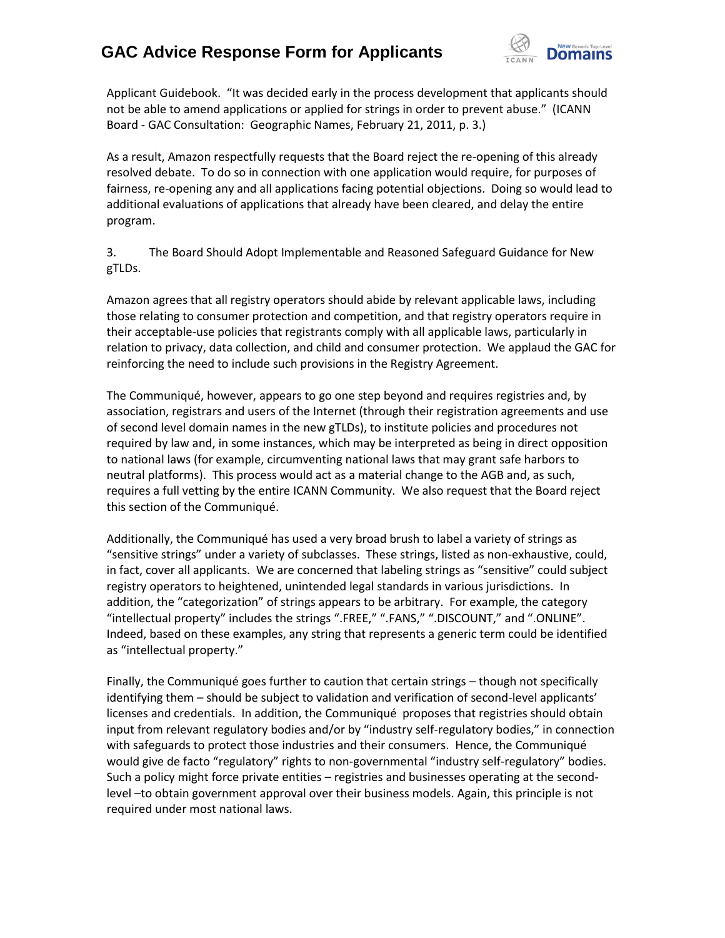

Applicant Guidebook. "It was decided early in the process development that applicants should not be able to amend applications or applied for strings in order to prevent abuse." (ICANN Board - GAC Consultation: Geographic Names, February 21, 2011, p. 3.)

As a result, Amazon respectfully requests that the Board reject the re-opening of this already resolved debate. To do so in connection with one application would require, for purposes of fairness, re-opening any and all applications facing potential objections. Doing so would lead to additional evaluations of applications that already have been cleared, and delay the entire program.

3. The Board Should Adopt Implementable and Reasoned Safeguard Guidance for New gTLDs.

Amazon agrees that all registry operators should abide by relevant applicable laws, including those relating to consumer protection and competition, and that registry operators require in their acceptable-use policies that registrants comply with all applicable laws, particularly in relation to privacy, data collection, and child and consumer protection. We applaud the GAC for reinforcing the need to include such provisions in the Registry Agreement.

The Communiqué, however, appears to go one step beyond and requires registries and, by association, registrars and users of the Internet (through their registration agreements and use of second level domain names in the new gTLDs), to institute policies and procedures not required by law and, in some instances, which may be interpreted as being in direct opposition to national laws (for example, circumventing national laws that may grant safe harbors to neutral platforms). This process would act as a material change to the AGB and, as such, requires a full vetting by the entire ICANN Community. We also request that the Board reject this section of the Communiqué.

Additionally, the Communiqué has used a very broad brush to label a variety of strings as "sensitive strings" under a variety of subclasses. These strings, listed as non-exhaustive, could, in fact, cover all applicants. We are concerned that labeling strings as "sensitive" could subject registry operators to heightened, unintended legal standards in various jurisdictions. In addition, the "categorization" of strings appears to be arbitrary. For example, the category "intellectual property" includes the strings ".FREE," ".FANS," ".DISCOUNT," and ".ONLINE". Indeed, based on these examples, any string that represents a generic term could be identified as "intellectual property."

Finally, the Communiqué goes further to caution that certain strings – though not specifically identifying them – should be subject to validation and verification of second-level applicants' licenses and credentials. In addition, the Communiqué proposes that registries should obtain input from relevant regulatory bodies and/or by "industry self-regulatory bodies," in connection with safeguards to protect those industries and their consumers. Hence, the Communiqué would give de facto "regulatory" rights to non-governmental "industry self-regulatory" bodies. Such a policy might force private entities – registries and businesses operating at the secondlevel –to obtain government approval over their business models. Again, this principle is not required under most national laws.